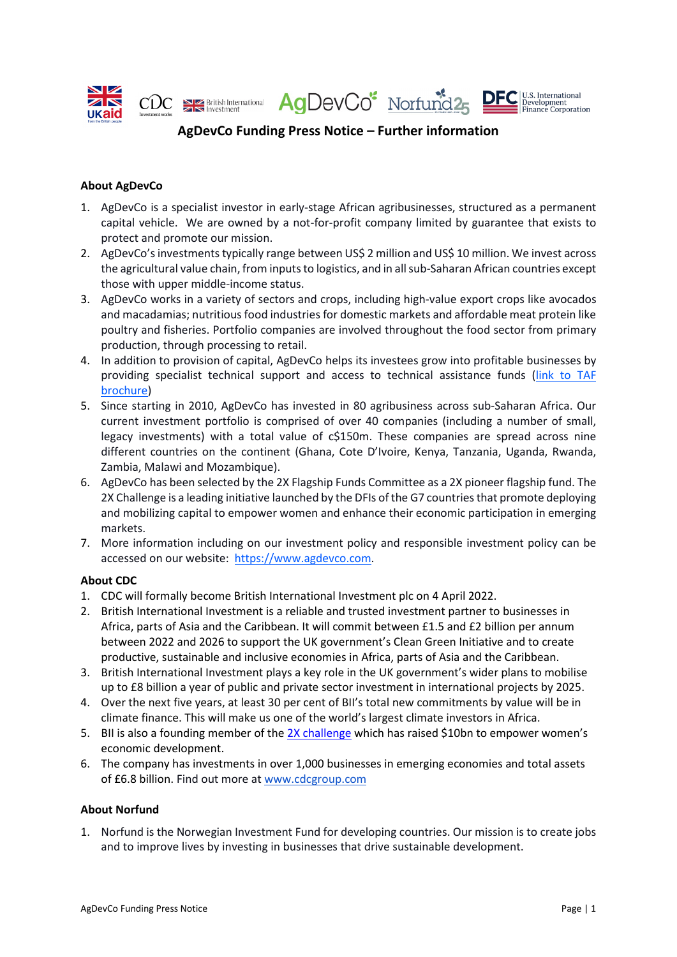

# **AgDevCo Funding Press Notice – Further information**

## **About AgDevCo**

- 1. AgDevCo is a specialist investor in early-stage African agribusinesses, structured as a permanent capital vehicle. We are owned by a not-for-profit company limited by guarantee that exists to protect and promote our mission.
- 2. AgDevCo's investments typically range between US\$ 2 million and US\$ 10 million. We invest across the agricultural value chain, from inputs to logistics, and in all sub-Saharan African countries except those with upper middle-income status.
- 3. AgDevCo works in a variety of sectors and crops, including high-value export crops like avocados and macadamias; nutritious food industries for domestic markets and affordable meat protein like poultry and fisheries. Portfolio companies are involved throughout the food sector from primary production, through processing to retail.
- 4. In addition to provision of capital, AgDevCo helps its investees grow into profitable businesses by providing specialist technical support and access to technical assistance funds (link [to TAF](https://agdevco.com/site/assets/files/1156/agdevco_taf_brochure_final.pdf) [brochure\)](https://agdevco.com/site/assets/files/1156/agdevco_taf_brochure_final.pdf)
- 5. Since starting in 2010, AgDevCo has invested in 80 agribusiness across sub-Saharan Africa. Our current investment portfolio is comprised of over 40 companies (including a number of small, legacy investments) with a total value of c\$150m. These companies are spread across nine different countries on the continent (Ghana, Cote D'Ivoire, Kenya, Tanzania, Uganda, Rwanda, Zambia, Malawi and Mozambique).
- 6. AgDevCo has been selected by the 2X Flagship Funds Committee as a 2X pioneer flagship fund. The 2X Challenge is a leading initiative launched by the DFIs of the G7 countries that promote deploying and mobilizing capital to empower women and enhance their economic participation in emerging markets.
- 7. More information including on our investment policy and responsible investment policy can be accessed on our website: [https://www.agdevco.com.](https://www.agdevco.com/)

#### **About CDC**

- 1. CDC will formally become British International Investment plc on 4 April 2022.
- 2. British International Investment is a reliable and trusted investment partner to businesses in Africa, parts of Asia and the Caribbean. It will commit between £1.5 and £2 billion per annum between 2022 and 2026 to support the UK government's Clean Green Initiative and to create productive, sustainable and inclusive economies in Africa, parts of Asia and the Caribbean.
- 3. British International Investment plays a key role in the UK government's wider plans to mobilise up to £8 billion a year of public and private sector investment in international projects by 2025.
- 4. Over the next five years, at least 30 per cent of BII's total new commitments by value will be in climate finance. This will make us one of the world's largest climate investors in Africa.
- 5. BII is also a founding member of th[e 2X challenge](http://www.2xcollaborative.org/) which has raised \$10bn to empower women's economic development.
- 6. The company has investments in over 1,000 businesses in emerging economies and total assets of £6.8 billion. Find out more a[t www.cdcgroup.com](http://www.cdcgroup.com/)

#### **About Norfund**

1. Norfund is the Norwegian Investment Fund for developing countries. Our mission is to create jobs and to improve lives by investing in businesses that drive sustainable development.